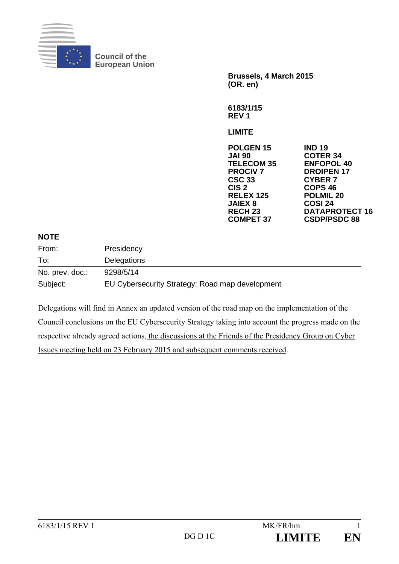

**Council of the European Union** 

**Brussels, 4 March 2015 (OR. en)** 

**6183/1/15 REV 1** 

**LIMITE** 

| <b>IND 19</b>         |
|-----------------------|
| <b>COTER 34</b>       |
| <b>ENFOPOL 40</b>     |
| <b>DROIPEN 17</b>     |
| <b>CYBER 7</b>        |
| COPS <sub>46</sub>    |
| <b>POLMIL 20</b>      |
| <b>COSI 24</b>        |
| <b>DATAPROTECT 16</b> |
| <b>CSDP/PSDC 88</b>   |
|                       |

## **NOTE**

| From:           | Presidency                                      |
|-----------------|-------------------------------------------------|
| To:             | Delegations                                     |
| No. prev. doc.: | 9298/5/14                                       |
| Subject:        | EU Cybersecurity Strategy: Road map development |

Delegations will find in Annex an updated version of the road map on the implementation of the Council conclusions on the EU Cybersecurity Strategy taking into account the progress made on the respective already agreed actions, the discussions at the Friends of the Presidency Group on Cyber Issues meeting held on 23 February 2015 and subsequent comments received.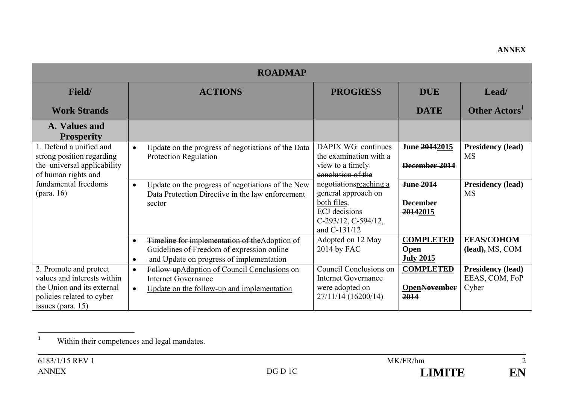| <b>ROADMAP</b>                                                                                                                           |                                                                                                                                                                    |                                                                                                                                   |                                                     |                                                     |  |
|------------------------------------------------------------------------------------------------------------------------------------------|--------------------------------------------------------------------------------------------------------------------------------------------------------------------|-----------------------------------------------------------------------------------------------------------------------------------|-----------------------------------------------------|-----------------------------------------------------|--|
| Field/                                                                                                                                   | <b>ACTIONS</b>                                                                                                                                                     | <b>PROGRESS</b>                                                                                                                   | <b>DUE</b>                                          | Lead/                                               |  |
| <b>Work Strands</b>                                                                                                                      |                                                                                                                                                                    |                                                                                                                                   | <b>DATE</b>                                         | Other Actors <sup>1</sup>                           |  |
| A. Values and<br><b>Prosperity</b>                                                                                                       |                                                                                                                                                                    |                                                                                                                                   |                                                     |                                                     |  |
| 1. Defend a unified and<br>strong position regarding<br>the universal applicability<br>of human rights and                               | Update on the progress of negotiations of the Data<br>$\bullet$<br>Protection Regulation                                                                           | DAPIX WG continues<br>the examination with a<br>view to a timely<br>conclusion of the                                             | June 20142015<br>December 2014                      | <b>Presidency (lead)</b><br><b>MS</b>               |  |
| fundamental freedoms                                                                                                                     | Update on the progress of negotiations of the New<br>$\bullet$<br>Data Protection Directive in the law enforcement<br>sector                                       | negotiationsreaching a<br>general approach on<br>both files.<br><b>ECJ</b> decisions<br>$C-293/12$ , $C-594/12$ ,<br>and C-131/12 | June 2014<br><b>December</b><br>20142015            | <b>Presidency (lead)</b><br><b>MS</b>               |  |
|                                                                                                                                          | Timeline for implementation of the Adoption of<br>$\bullet$<br>Guidelines of Freedom of expression online<br>and Update on progress of implementation<br>$\bullet$ | Adopted on 12 May<br>$2014$ by FAC                                                                                                | <b>COMPLETED</b><br><b>Open</b><br><b>July 2015</b> | <b>EEAS/COHOM</b><br>(lead), MS, COM                |  |
| 2. Promote and protect<br>values and interests within<br>the Union and its external<br>policies related to cyber<br>issues (para. $15$ ) | Follow-upAdoption of Council Conclusions on<br>$\bullet$<br><b>Internet Governance</b><br>Update on the follow-up and implementation<br>$\bullet$                  | Council Conclusions on<br><b>Internet Governance</b><br>were adopted on<br>27/11/14 (16200/14)                                    | <b>COMPLETED</b><br><b>OpenNovember</b><br>2014     | <b>Presidency (lead)</b><br>EEAS, COM, FoP<br>Cyber |  |

**<sup>1</sup>** Within their competences and legal mandates.

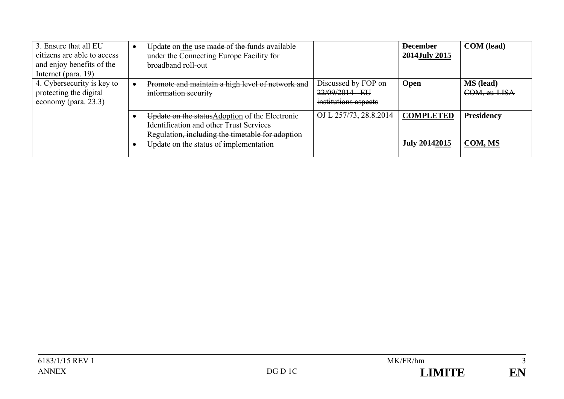| 3. Ensure that all EU<br>citizens are able to access<br>and enjoy benefits of the<br>Internet (para. 19) | Update on the use made of the funds available<br>under the Connecting Europe Facility for<br>broadband roll-out                                                                                 |                                                                | <b>December</b><br>2014July 2015  | <b>COM</b> (lead)                |
|----------------------------------------------------------------------------------------------------------|-------------------------------------------------------------------------------------------------------------------------------------------------------------------------------------------------|----------------------------------------------------------------|-----------------------------------|----------------------------------|
| 4. Cybersecurity is key to<br>protecting the digital<br>economy (para. 23.3)                             | Promote and maintain a high level of network and<br>information security                                                                                                                        | Discussed by FOP on<br>22/09/2014 - EU<br>institutions aspects | <b>Open</b>                       | <b>MS (lead)</b><br>COM, eu-LISA |
|                                                                                                          | Update on the status Adoption of the Electronic<br><b>Identification and other Trust Services</b><br>Regulation, including the timetable for adoption<br>Update on the status of implementation | OJ L 257/73, 28.8.2014                                         | <b>COMPLETED</b><br>July 20142015 | <b>Presidency</b><br>COM, MS     |

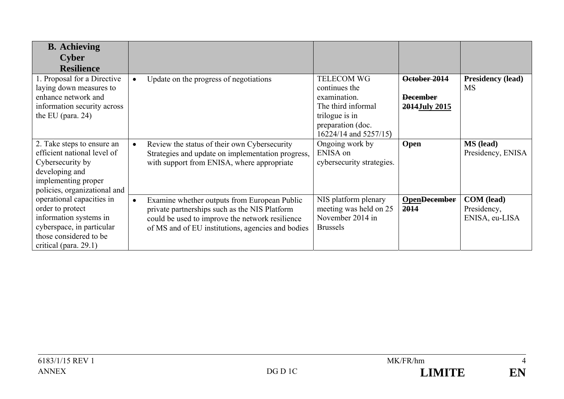| <b>B.</b> Achieving<br><b>Cyber</b><br><b>Resilience</b>                                                                                                |                                                                                                                                                                                                                    |                                                                                                                                          |                                                  |                                             |
|---------------------------------------------------------------------------------------------------------------------------------------------------------|--------------------------------------------------------------------------------------------------------------------------------------------------------------------------------------------------------------------|------------------------------------------------------------------------------------------------------------------------------------------|--------------------------------------------------|---------------------------------------------|
| 1. Proposal for a Directive<br>laying down measures to<br>enhance network and<br>information security across<br>the EU (para. $24$ )                    | Update on the progress of negotiations<br>$\bullet$                                                                                                                                                                | <b>TELECOM WG</b><br>continues the<br>examination.<br>The third informal<br>trilogue is in<br>preparation (doc.<br>16224/14 and 5257/15) | October 2014<br><b>December</b><br>2014July 2015 | <b>Presidency (lead)</b><br><b>MS</b>       |
| 2. Take steps to ensure an<br>efficient national level of<br>Cybersecurity by<br>developing and<br>implementing proper<br>policies, organizational and  | Review the status of their own Cybersecurity<br>$\bullet$<br>Strategies and update on implementation progress,<br>with support from ENISA, where appropriate                                                       | Ongoing work by<br>ENISA on<br>cybersecurity strategies.                                                                                 | Open                                             | <b>MS</b> (lead)<br>Presidency, ENISA       |
| operational capacities in<br>order to protect<br>information systems in<br>cyberspace, in particular<br>those considered to be<br>critical (para. 29.1) | Examine whether outputs from European Public<br>$\bullet$<br>private partnerships such as the NIS Platform<br>could be used to improve the network resilience<br>of MS and of EU institutions, agencies and bodies | NIS platform plenary<br>meeting was held on 25<br>November 2014 in<br><b>Brussels</b>                                                    | <b>OpenDecember</b><br>2014                      | COM (lead)<br>Presidency,<br>ENISA, eu-LISA |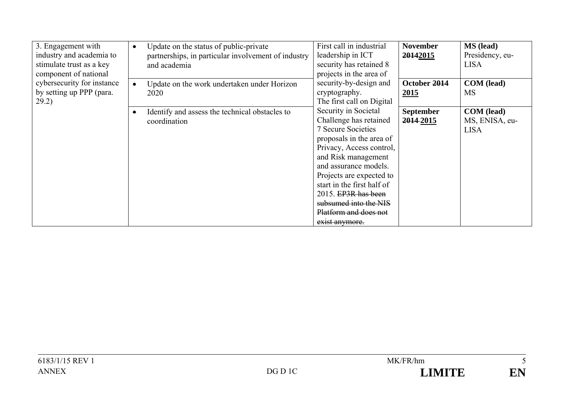| 3. Engagement with<br>industry and academia to<br>stimulate trust as a key<br>component of national | Update on the status of public-private<br>$\bullet$<br>partnerships, in particular involvement of industry<br>and academia | First call in industrial<br>leadership in ICT<br>security has retained 8<br>projects in the area of                                                                                                                                                                                                                                      | <b>November</b><br>20142015   | <b>MS</b> (lead)<br>Presidency, eu-<br><b>LISA</b> |
|-----------------------------------------------------------------------------------------------------|----------------------------------------------------------------------------------------------------------------------------|------------------------------------------------------------------------------------------------------------------------------------------------------------------------------------------------------------------------------------------------------------------------------------------------------------------------------------------|-------------------------------|----------------------------------------------------|
| cybersecurity for instance<br>by setting up PPP (para.<br>29.2)                                     | Update on the work undertaken under Horizon<br>$\bullet$<br>2020                                                           | security-by-design and<br>cryptography.<br>The first call on Digital                                                                                                                                                                                                                                                                     | October 2014<br>2015          | COM (lead)<br><b>MS</b>                            |
|                                                                                                     | Identify and assess the technical obstacles to<br>۰<br>coordination                                                        | Security in Societal<br>Challenge has retained<br><b>7 Secure Societies</b><br>proposals in the area of<br>Privacy, Access control,<br>and Risk management<br>and assurance models.<br>Projects are expected to<br>start in the first half of<br>2015. EP3R has been<br>subsumed into the NIS<br>Platform and does not<br>exist anymore. | <b>September</b><br>2014-2015 | <b>COM</b> (lead)<br>MS, ENISA, eu-<br><b>LISA</b> |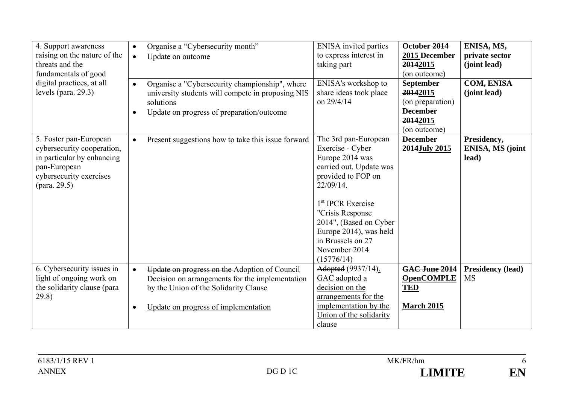| 4. Support awareness<br>raising on the nature of the<br>threats and the<br>fundamentals of good<br>digital practices, at all<br>levels (para. $29.3$ ) | Organise a "Cybersecurity month"<br>$\bullet$<br>Update on outcome<br>$\bullet$<br>Organise a "Cybersecurity championship", where<br>$\bullet$<br>university students will compete in proposing NIS<br>solutions<br>Update on progress of preparation/outcome<br>$\bullet$ | <b>ENISA</b> invited parties<br>to express interest in<br>taking part<br>ENISA's workshop to<br>share ideas took place<br>on 29/4/14                                                                                                                                                      | October 2014<br>2015 December<br>20142015<br>(on outcome)<br><b>September</b><br>20142015<br>(on preparation)<br><b>December</b><br>20142015<br>(on outcome) | ENISA, MS,<br>private sector<br>(joint lead)<br><b>COM, ENISA</b><br>(joint lead) |
|--------------------------------------------------------------------------------------------------------------------------------------------------------|----------------------------------------------------------------------------------------------------------------------------------------------------------------------------------------------------------------------------------------------------------------------------|-------------------------------------------------------------------------------------------------------------------------------------------------------------------------------------------------------------------------------------------------------------------------------------------|--------------------------------------------------------------------------------------------------------------------------------------------------------------|-----------------------------------------------------------------------------------|
| 5. Foster pan-European<br>cybersecurity cooperation,<br>in particular by enhancing<br>pan-European<br>cybersecurity exercises<br>(para. 29.5)          | Present suggestions how to take this issue forward<br>$\bullet$                                                                                                                                                                                                            | The 3rd pan-European<br>Exercise - Cyber<br>Europe 2014 was<br>carried out. Update was<br>provided to FOP on<br>$22/09/14$ .<br>1 <sup>st</sup> IPCR Exercise<br>"Crisis Response<br>2014", (Based on Cyber<br>Europe 2014), was held<br>in Brussels on 27<br>November 2014<br>(15776/14) | <b>December</b><br>2014July 2015                                                                                                                             | Presidency,<br><b>ENISA, MS (joint</b><br>lead)                                   |
| 6. Cybersecurity issues in<br>light of ongoing work on<br>the solidarity clause (para<br>29.8)                                                         | Update on progress on the Adoption of Council<br>$\bullet$<br>Decision on arrangements for the implementation<br>by the Union of the Solidarity Clause<br>Update on progress of implementation<br>$\bullet$                                                                | Adopted (9937/14).<br>GAC adopted a<br>decision on the<br>arrangements for the<br>implementation by the<br>Union of the solidarity<br>clause                                                                                                                                              | GAC June 2014<br><b>OpenCOMPLE</b><br><b>TED</b><br><b>March 2015</b>                                                                                        | <b>Presidency (lead)</b><br><b>MS</b>                                             |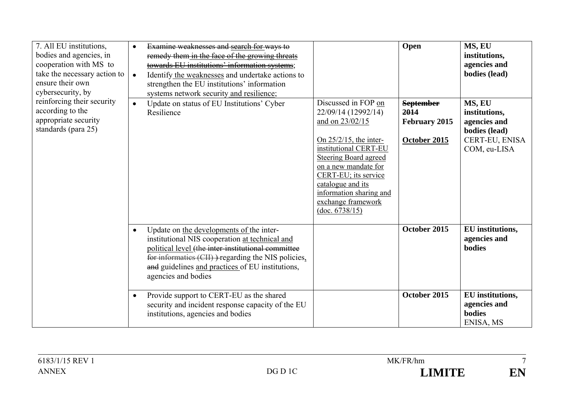| 7. All EU institutions,<br>bodies and agencies, in<br>cooperation with MS to<br>take the necessary action to<br>ensure their own<br>cybersecurity, by<br>reinforcing their security<br>according to the<br>appropriate security<br>standards (para 25) | $\bullet$<br>$\bullet$ | Examine weaknesses and search for ways to<br>remedy them in the face of the growing threats<br>towards EU institutions' information systems;<br>Identify the weaknesses and undertake actions to<br>strengthen the EU institutions' information<br>systems network security and resilience; |                                                                                                                                                                                                                                                                                             | Open                                                             | MS, EU<br>institutions,<br>agencies and<br>bodies (lead)                                   |
|--------------------------------------------------------------------------------------------------------------------------------------------------------------------------------------------------------------------------------------------------------|------------------------|---------------------------------------------------------------------------------------------------------------------------------------------------------------------------------------------------------------------------------------------------------------------------------------------|---------------------------------------------------------------------------------------------------------------------------------------------------------------------------------------------------------------------------------------------------------------------------------------------|------------------------------------------------------------------|--------------------------------------------------------------------------------------------|
|                                                                                                                                                                                                                                                        | $\bullet$              | Update on status of EU Institutions' Cyber<br>Resilience                                                                                                                                                                                                                                    | Discussed in FOP on<br>22/09/14 (12992/14)<br>and on 23/02/15<br>On $25/2/15$ , the inter-<br>institutional CERT-EU<br><b>Steering Board agreed</b><br>on a new mandate for<br>CERT-EU; its service<br>catalogue and its<br>information sharing and<br>exchange framework<br>(doc. 6738/15) | <b>September</b><br>2014<br><b>February 2015</b><br>October 2015 | MS, EU<br>institutions,<br>agencies and<br>bodies (lead)<br>CERT-EU, ENISA<br>COM, eu-LISA |
|                                                                                                                                                                                                                                                        | $\bullet$              | Update on the developments of the inter-<br>institutional NIS cooperation at technical and<br>political level (the inter-institutional committee<br>for informatics (CII) )-regarding the NIS policies.<br>and guidelines and practices of EU institutions,<br>agencies and bodies          |                                                                                                                                                                                                                                                                                             | October 2015                                                     | EU institutions,<br>agencies and<br>bodies                                                 |
|                                                                                                                                                                                                                                                        | $\bullet$              | Provide support to CERT-EU as the shared<br>security and incident response capacity of the EU<br>institutions, agencies and bodies                                                                                                                                                          |                                                                                                                                                                                                                                                                                             | October 2015                                                     | EU institutions,<br>agencies and<br>bodies<br>ENISA, MS                                    |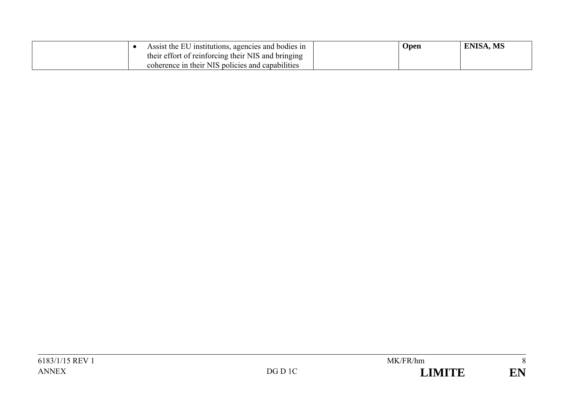| Assist the EU institutions, agencies and bodies in | <b>Open</b> | <b>ENISA, MS</b> |
|----------------------------------------------------|-------------|------------------|
| their effort of reinforcing their NIS and bringing |             |                  |
| coherence in their NIS policies and capabilities   |             |                  |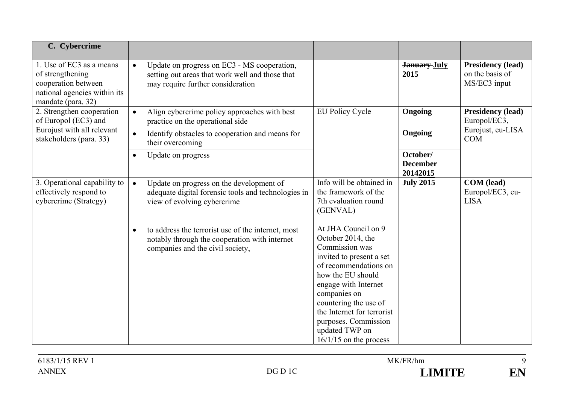| C. Cybercrime                                                                                                             |                                                                                                                                                      |                                                                                                                                                                                                                                                                                                           |                                         |                                                             |
|---------------------------------------------------------------------------------------------------------------------------|------------------------------------------------------------------------------------------------------------------------------------------------------|-----------------------------------------------------------------------------------------------------------------------------------------------------------------------------------------------------------------------------------------------------------------------------------------------------------|-----------------------------------------|-------------------------------------------------------------|
| 1. Use of EC3 as a means<br>of strengthening<br>cooperation between<br>national agencies within its<br>mandate (para. 32) | Update on progress on EC3 - MS cooperation,<br>$\bullet$<br>setting out areas that work well and those that<br>may require further consideration     |                                                                                                                                                                                                                                                                                                           | <b>January July</b><br>2015             | <b>Presidency (lead)</b><br>on the basis of<br>MS/EC3 input |
| 2. Strengthen cooperation<br>of Europol (EC3) and                                                                         | Align cybercrime policy approaches with best<br>$\bullet$<br>practice on the operational side                                                        | <b>EU Policy Cycle</b>                                                                                                                                                                                                                                                                                    | Ongoing                                 | <b>Presidency (lead)</b><br>Europol/EC3,                    |
| Eurojust with all relevant<br>stakeholders (para. 33)                                                                     | Identify obstacles to cooperation and means for<br>$\bullet$<br>their overcoming                                                                     |                                                                                                                                                                                                                                                                                                           | Ongoing                                 | Eurojust, eu-LISA<br><b>COM</b>                             |
|                                                                                                                           | Update on progress<br>$\bullet$                                                                                                                      |                                                                                                                                                                                                                                                                                                           | October/<br><b>December</b><br>20142015 |                                                             |
| 3. Operational capability to<br>effectively respond to<br>cybercrime (Strategy)                                           | Update on progress on the development of<br>$\bullet$<br>adequate digital forensic tools and technologies in<br>view of evolving cybercrime          | Info will be obtained in<br>the framework of the<br>7th evaluation round<br>(GENVAL)                                                                                                                                                                                                                      | <b>July 2015</b>                        | <b>COM</b> (lead)<br>Europol/EC3, eu-<br><b>LISA</b>        |
|                                                                                                                           | to address the terrorist use of the internet, most<br>$\bullet$<br>notably through the cooperation with internet<br>companies and the civil society, | At JHA Council on 9<br>October 2014, the<br>Commission was<br>invited to present a set<br>of recommendations on<br>how the EU should<br>engage with Internet<br>companies on<br>countering the use of<br>the Internet for terrorist<br>purposes. Commission<br>updated TWP on<br>$16/1/15$ on the process |                                         |                                                             |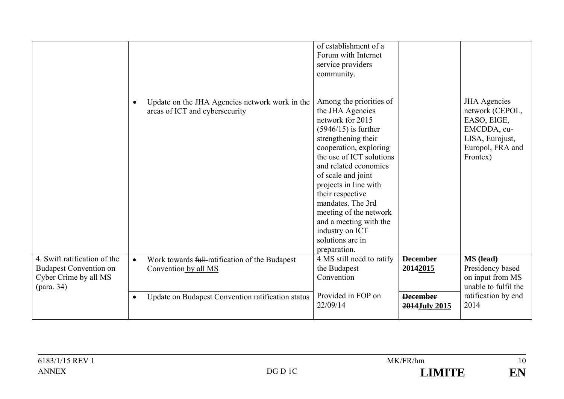|                                                                                                                | Update on the JHA Agencies network work in the<br>$\bullet$<br>areas of ICT and cybersecurity | of establishment of a<br>Forum with Internet<br>service providers<br>community.<br>Among the priorities of<br>the JHA Agencies<br>network for 2015<br>$(5946/15)$ is further<br>strengthening their<br>cooperation, exploring<br>the use of ICT solutions<br>and related economies<br>of scale and joint<br>projects in line with<br>their respective<br>mandates. The 3rd<br>meeting of the network<br>and a meeting with the<br>industry on ICT<br>solutions are in<br>preparation. |                                  | <b>JHA</b> Agencies<br>network (CEPOL,<br>EASO, EIGE,<br>EMCDDA, eu-<br>LISA, Eurojust,<br>Europol, FRA and<br>Frontex) |
|----------------------------------------------------------------------------------------------------------------|-----------------------------------------------------------------------------------------------|---------------------------------------------------------------------------------------------------------------------------------------------------------------------------------------------------------------------------------------------------------------------------------------------------------------------------------------------------------------------------------------------------------------------------------------------------------------------------------------|----------------------------------|-------------------------------------------------------------------------------------------------------------------------|
| 4. Swift ratification of the<br><b>Budapest Convention on</b><br>Cyber Crime by all MS<br>$(\text{para. } 34)$ | Work towards full-ratification of the Budapest<br>$\bullet$<br>Convention by all MS           | 4 MS still need to ratify<br>the Budapest<br>Convention                                                                                                                                                                                                                                                                                                                                                                                                                               | <b>December</b><br>20142015      | <b>MS</b> (lead)<br>Presidency based<br>on input from MS<br>unable to fulfil the                                        |
|                                                                                                                | Update on Budapest Convention ratification status<br>$\bullet$                                | Provided in FOP on<br>22/09/14                                                                                                                                                                                                                                                                                                                                                                                                                                                        | <b>December</b><br>2014July 2015 | ratification by end<br>2014                                                                                             |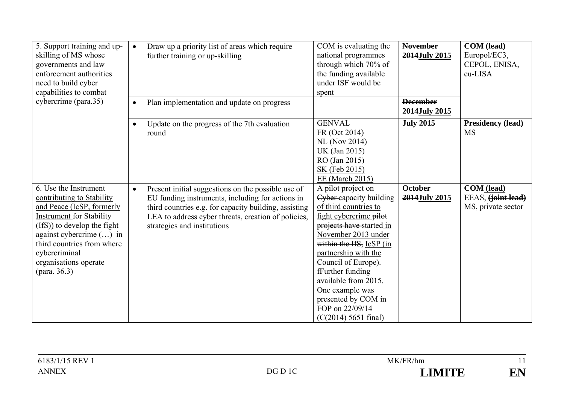| 5. Support training and up-<br>skilling of MS whose<br>governments and law<br>enforcement authorities<br>need to build cyber<br>capabilities to combat<br>cybercrime (para.35)                                                                                                | Draw up a priority list of areas which require<br>$\bullet$<br>further training or up-skilling<br>Plan implementation and update on progress<br>$\bullet$                                                                                                          | COM is evaluating the<br>national programmes<br>through which 70% of<br>the funding available<br>under ISF would be<br>spent                                                                                                                                                                                                                                      | <b>November</b><br>2014July 2015<br><b>December</b> | <b>COM</b> (lead)<br>Europol/EC3,<br>CEPOL, ENISA,<br>eu-LISA |
|-------------------------------------------------------------------------------------------------------------------------------------------------------------------------------------------------------------------------------------------------------------------------------|--------------------------------------------------------------------------------------------------------------------------------------------------------------------------------------------------------------------------------------------------------------------|-------------------------------------------------------------------------------------------------------------------------------------------------------------------------------------------------------------------------------------------------------------------------------------------------------------------------------------------------------------------|-----------------------------------------------------|---------------------------------------------------------------|
|                                                                                                                                                                                                                                                                               | Update on the progress of the 7th evaluation<br>$\bullet$<br>round                                                                                                                                                                                                 | <b>GENVAL</b><br>FR (Oct 2014)<br><b>NL</b> (Nov 2014)<br>UK (Jan 2015)<br>RO (Jan 2015)<br>SK (Feb 2015)<br>EE (March 2015)                                                                                                                                                                                                                                      | 2014July 2015<br><b>July 2015</b>                   | <b>Presidency (lead)</b><br><b>MS</b>                         |
| 6. Use the Instrument<br>contributing to Stability<br>and Peace (IcSP, formerly<br><b>Instrument for Stability</b><br>(IfS)) to develop the fight<br>against cybercrime $(\ldots)$ in<br>third countries from where<br>cybercriminal<br>organisations operate<br>(para. 36.3) | Present initial suggestions on the possible use of<br>$\bullet$<br>EU funding instruments, including for actions in<br>third countries e.g. for capacity building, assisting<br>LEA to address cyber threats, creation of policies,<br>strategies and institutions | A pilot project on<br>Cyber-capacity building<br>of third countries to<br>fight cybercrime pilot<br>projects have started in<br>November 2013 under<br>within the IfS, IcSP (in<br>partnership with the<br>Council of Europe).<br>fEurther funding<br>available from 2015.<br>One example was<br>presented by COM in<br>FOP on 22/09/14<br>$(C(2014) 5651$ final) | <b>October</b><br>2014July 2015                     | COM (lead)<br>EEAS, (joint lead)<br>MS, private sector        |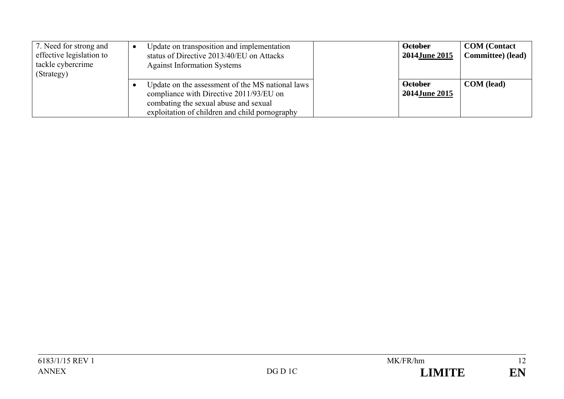| 7. Need for strong and<br>effective legislation to<br>tackle cybercrime<br>(Strategy) | Update on transposition and implementation<br>status of Directive 2013/40/EU on Attacks<br><b>Against Information Systems</b>                                                          | <b>October</b><br>2014June 2015 | <b>COM</b> (Contact<br>Committee) (lead) |
|---------------------------------------------------------------------------------------|----------------------------------------------------------------------------------------------------------------------------------------------------------------------------------------|---------------------------------|------------------------------------------|
|                                                                                       | Update on the assessment of the MS national laws<br>compliance with Directive 2011/93/EU on<br>combating the sexual abuse and sexual<br>exploitation of children and child pornography | <b>October</b><br>2014June 2015 | <b>COM</b> (lead)                        |

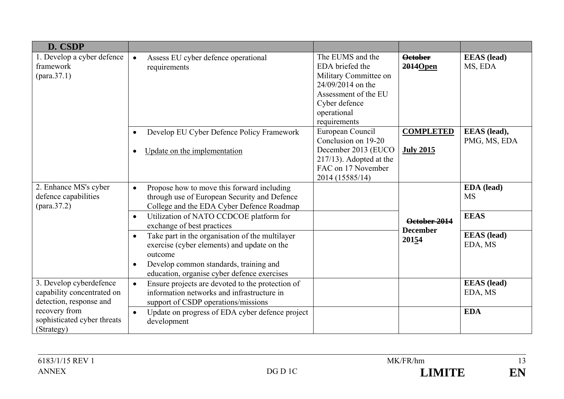| D. CSDP                                                                          |                                                                                                                                                                                                                                                                                                                                                                                                                                                                            |                                                                                                                                                           |                                          |                                                                         |
|----------------------------------------------------------------------------------|----------------------------------------------------------------------------------------------------------------------------------------------------------------------------------------------------------------------------------------------------------------------------------------------------------------------------------------------------------------------------------------------------------------------------------------------------------------------------|-----------------------------------------------------------------------------------------------------------------------------------------------------------|------------------------------------------|-------------------------------------------------------------------------|
| 1. Develop a cyber defence<br>framework                                          | Assess EU cyber defence operational<br>$\bullet$<br>requirements                                                                                                                                                                                                                                                                                                                                                                                                           | The EUMS and the<br>EDA briefed the<br>Military Committee on<br>24/09/2014 on the<br>Assessment of the EU<br>Cyber defence<br>operational<br>requirements | <b>October</b><br>2014Open               | <b>EEAS</b> (lead)<br>MS, EDA                                           |
|                                                                                  | Develop EU Cyber Defence Policy Framework<br>$\bullet$<br>Update on the implementation<br>$\bullet$                                                                                                                                                                                                                                                                                                                                                                        | European Council<br>Conclusion on 19-20<br>December 2013 (EUCO<br>$217/13$ ). Adopted at the<br>FAC on 17 November<br>2014 (15585/14)                     | <b>COMPLETED</b><br><b>July 2015</b>     | EEAS (lead),<br>PMG, MS, EDA                                            |
| 2. Enhance MS's cyber<br>defence capabilities                                    | Propose how to move this forward including<br>$\bullet$<br>through use of European Security and Defence<br>College and the EDA Cyber Defence Roadmap<br>Utilization of NATO CCDCOE platform for<br>$\bullet$<br>exchange of best practices<br>Take part in the organisation of the multilayer<br>$\bullet$<br>exercise (cyber elements) and update on the<br>outcome<br>Develop common standards, training and<br>$\bullet$<br>education, organise cyber defence exercises |                                                                                                                                                           | October 2014<br><b>December</b><br>20154 | EDA (lead)<br><b>MS</b><br><b>EEAS</b><br><b>EEAS</b> (lead)<br>EDA, MS |
| 3. Develop cyberdefence<br>capability concentrated on<br>detection, response and | Ensure projects are devoted to the protection of<br>$\bullet$<br>information networks and infrastructure in<br>support of CSDP operations/missions                                                                                                                                                                                                                                                                                                                         |                                                                                                                                                           |                                          | <b>EEAS</b> (lead)<br>EDA, MS                                           |
| recovery from<br>sophisticated cyber threats<br>(Strategy)                       | Update on progress of EDA cyber defence project<br>$\bullet$<br>development                                                                                                                                                                                                                                                                                                                                                                                                |                                                                                                                                                           |                                          | <b>EDA</b>                                                              |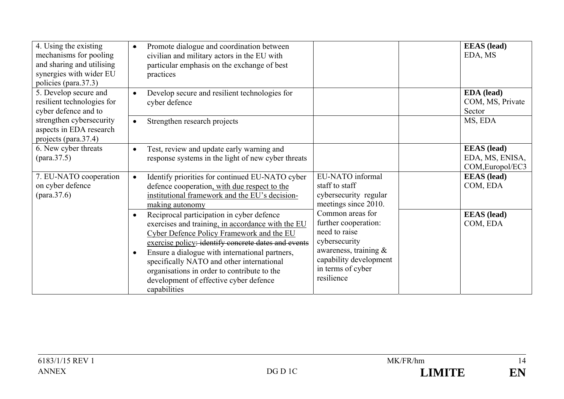| 4. Using the existing<br>mechanisms for pooling<br>and sharing and utilising<br>synergies with wider EU<br>policies (para.37.3) | Promote dialogue and coordination between<br>$\bullet$<br>civilian and military actors in the EU with<br>particular emphasis on the exchange of best<br>practices                                                                                                                                                                                                                                                                    |                                                                                                                                                                     | <b>EEAS</b> (lead)<br>EDA, MS                             |
|---------------------------------------------------------------------------------------------------------------------------------|--------------------------------------------------------------------------------------------------------------------------------------------------------------------------------------------------------------------------------------------------------------------------------------------------------------------------------------------------------------------------------------------------------------------------------------|---------------------------------------------------------------------------------------------------------------------------------------------------------------------|-----------------------------------------------------------|
| 5. Develop secure and<br>resilient technologies for<br>cyber defence and to                                                     | Develop secure and resilient technologies for<br>$\bullet$<br>cyber defence                                                                                                                                                                                                                                                                                                                                                          |                                                                                                                                                                     | <b>EDA</b> (lead)<br>COM, MS, Private<br>Sector           |
| strengthen cybersecurity<br>aspects in EDA research<br>projects (para.37.4)                                                     | Strengthen research projects<br>$\bullet$                                                                                                                                                                                                                                                                                                                                                                                            |                                                                                                                                                                     | MS, EDA                                                   |
| 6. New cyber threats                                                                                                            | Test, review and update early warning and<br>$\bullet$<br>response systems in the light of new cyber threats                                                                                                                                                                                                                                                                                                                         |                                                                                                                                                                     | <b>EEAS</b> (lead)<br>EDA, MS, ENISA,<br>COM, Europol/EC3 |
| 7. EU-NATO cooperation<br>on cyber defence                                                                                      | Identify priorities for continued EU-NATO cyber<br>$\bullet$<br>defence cooperation, with due respect to the<br>institutional framework and the EU's decision-<br>making autonomy                                                                                                                                                                                                                                                    | EU-NATO informal<br>staff to staff<br>cybersecurity regular<br>meetings since 2010.                                                                                 | <b>EEAS</b> (lead)<br>COM, EDA                            |
|                                                                                                                                 | Reciprocal participation in cyber defence<br>$\bullet$<br>exercises and training, in accordance with the EU<br>Cyber Defence Policy Framework and the EU<br>exercise policy: identify concrete dates and events<br>Ensure a dialogue with international partners,<br>$\bullet$<br>specifically NATO and other international<br>organisations in order to contribute to the<br>development of effective cyber defence<br>capabilities | Common areas for<br>further cooperation:<br>need to raise<br>cybersecurity<br>awareness, training $\&$<br>capability development<br>in terms of cyber<br>resilience | <b>EEAS</b> (lead)<br>COM, EDA                            |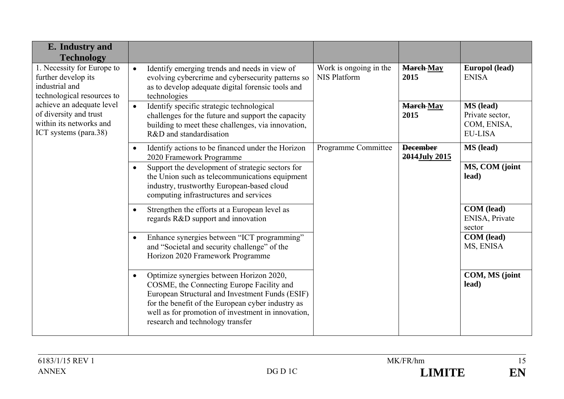| E. Industry and<br><b>Technology</b>                                                                                                                                                                         |                                                                                                                                                                                                                                                                                                      |                                               |                                  |                                                               |
|--------------------------------------------------------------------------------------------------------------------------------------------------------------------------------------------------------------|------------------------------------------------------------------------------------------------------------------------------------------------------------------------------------------------------------------------------------------------------------------------------------------------------|-----------------------------------------------|----------------------------------|---------------------------------------------------------------|
| 1. Necessity for Europe to<br>further develop its<br>industrial and<br>technological resources to<br>achieve an adequate level<br>of diversity and trust<br>within its networks and<br>ICT systems (para.38) | Identify emerging trends and needs in view of<br>$\bullet$<br>evolving cybercrime and cybersecurity patterns so<br>as to develop adequate digital forensic tools and<br>technologies                                                                                                                 | Work is ongoing in the<br><b>NIS Platform</b> | <b>March-May</b><br>2015         | Europol (lead)<br><b>ENISA</b>                                |
|                                                                                                                                                                                                              | Identify specific strategic technological<br>$\bullet$<br>challenges for the future and support the capacity<br>building to meet these challenges, via innovation,<br>R&D and standardisation                                                                                                        |                                               | <b>March</b> -May<br>2015        | MS (lead)<br>Private sector,<br>COM, ENISA,<br><b>EU-LISA</b> |
|                                                                                                                                                                                                              | Identify actions to be financed under the Horizon<br>$\bullet$<br>2020 Framework Programme                                                                                                                                                                                                           | Programme Committee                           | <b>December</b><br>2014July 2015 | MS (lead)                                                     |
|                                                                                                                                                                                                              | Support the development of strategic sectors for<br>the Union such as telecommunications equipment<br>industry, trustworthy European-based cloud<br>computing infrastructures and services                                                                                                           |                                               |                                  | MS, COM (joint<br>lead)                                       |
|                                                                                                                                                                                                              | Strengthen the efforts at a European level as<br>$\bullet$<br>regards R&D support and innovation                                                                                                                                                                                                     |                                               |                                  | COM (lead)<br>ENISA, Private<br>sector                        |
|                                                                                                                                                                                                              | Enhance synergies between "ICT programming"<br>$\bullet$<br>and "Societal and security challenge" of the<br>Horizon 2020 Framework Programme                                                                                                                                                         |                                               |                                  | <b>COM</b> (lead)<br>MS, ENISA                                |
|                                                                                                                                                                                                              | Optimize synergies between Horizon 2020,<br>$\bullet$<br>COSME, the Connecting Europe Facility and<br>European Structural and Investment Funds (ESIF)<br>for the benefit of the European cyber industry as<br>well as for promotion of investment in innovation,<br>research and technology transfer |                                               |                                  | COM, MS (joint<br>lead)                                       |

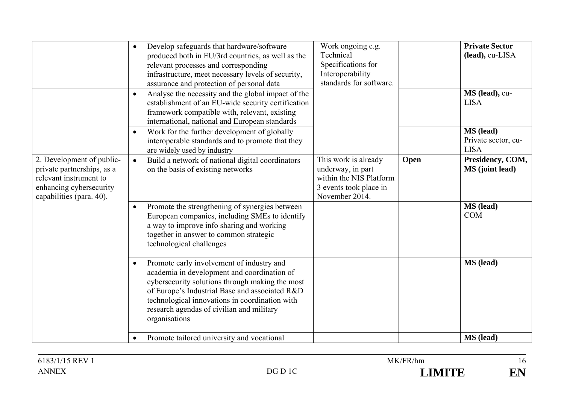|                                                                                                                                          | Develop safeguards that hardware/software<br>$\bullet$<br>produced both in EU/3rd countries, as well as the<br>relevant processes and corresponding<br>infrastructure, meet necessary levels of security,<br>assurance and protection of personal data                                                                     | Work ongoing e.g.<br>Technical<br>Specifications for<br>Interoperability<br>standards for software.              |      | <b>Private Sector</b><br>(lead), eu-LISA        |
|------------------------------------------------------------------------------------------------------------------------------------------|----------------------------------------------------------------------------------------------------------------------------------------------------------------------------------------------------------------------------------------------------------------------------------------------------------------------------|------------------------------------------------------------------------------------------------------------------|------|-------------------------------------------------|
|                                                                                                                                          | Analyse the necessity and the global impact of the<br>$\bullet$<br>establishment of an EU-wide security certification<br>framework compatible with, relevant, existing<br>international, national and European standards                                                                                                   |                                                                                                                  |      | MS (lead), eu-<br><b>LISA</b>                   |
|                                                                                                                                          | Work for the further development of globally<br>$\bullet$<br>interoperable standards and to promote that they<br>are widely used by industry                                                                                                                                                                               |                                                                                                                  |      | MS (lead)<br>Private sector, eu-<br><b>LISA</b> |
| 2. Development of public-<br>private partnerships, as a<br>relevant instrument to<br>enhancing cybersecurity<br>capabilities (para. 40). | Build a network of national digital coordinators<br>$\bullet$<br>on the basis of existing networks                                                                                                                                                                                                                         | This work is already<br>underway, in part<br>within the NIS Platform<br>3 events took place in<br>November 2014. | Open | Presidency, COM,<br><b>MS</b> (joint lead)      |
|                                                                                                                                          | Promote the strengthening of synergies between<br>$\bullet$<br>European companies, including SMEs to identify<br>a way to improve info sharing and working<br>together in answer to common strategic<br>technological challenges                                                                                           |                                                                                                                  |      | MS (lead)<br><b>COM</b>                         |
|                                                                                                                                          | Promote early involvement of industry and<br>$\bullet$<br>academia in development and coordination of<br>cybersecurity solutions through making the most<br>of Europe's Industrial Base and associated R&D<br>technological innovations in coordination with<br>research agendas of civilian and military<br>organisations |                                                                                                                  |      | MS (lead)                                       |
|                                                                                                                                          | Promote tailored university and vocational<br>$\bullet$                                                                                                                                                                                                                                                                    |                                                                                                                  |      | MS (lead)                                       |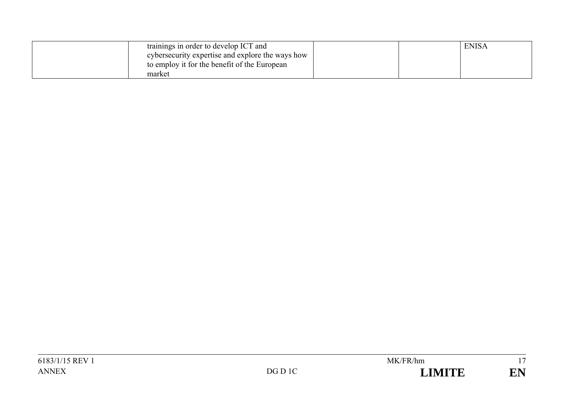| trainings in order to develop ICT and            |  | <b>ENISA</b> |
|--------------------------------------------------|--|--------------|
| cybersecurity expertise and explore the ways how |  |              |
| to employ it for the benefit of the European     |  |              |
| market                                           |  |              |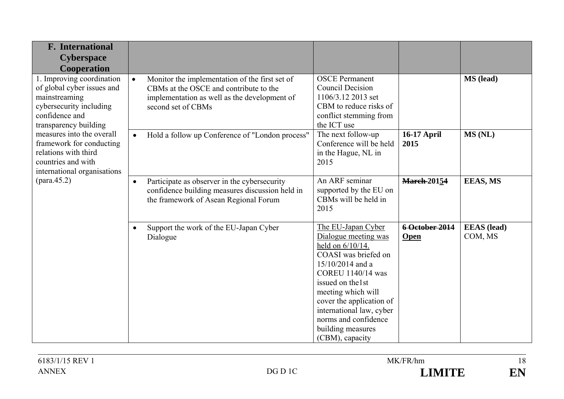| <b>F.</b> International<br><b>Cyberspace</b><br>Cooperation                                                                                                                                                                                                                          |           |                                                                                                                                                                |                                                                                                                                                                                                                                                                                                    |                               |                               |
|--------------------------------------------------------------------------------------------------------------------------------------------------------------------------------------------------------------------------------------------------------------------------------------|-----------|----------------------------------------------------------------------------------------------------------------------------------------------------------------|----------------------------------------------------------------------------------------------------------------------------------------------------------------------------------------------------------------------------------------------------------------------------------------------------|-------------------------------|-------------------------------|
| 1. Improving coordination<br>of global cyber issues and<br>mainstreaming<br>cybersecurity including<br>confidence and<br>transparency building<br>measures into the overall<br>framework for conducting<br>relations with third<br>countries and with<br>international organisations | $\bullet$ | Monitor the implementation of the first set of<br>CBMs at the OSCE and contribute to the<br>implementation as well as the development of<br>second set of CBMs | <b>OSCE</b> Permanent<br><b>Council Decision</b><br>1106/3.12 2013 set<br>CBM to reduce risks of<br>conflict stemming from<br>the ICT use                                                                                                                                                          |                               | MS (lead)                     |
|                                                                                                                                                                                                                                                                                      | $\bullet$ | Hold a follow up Conference of "London process"                                                                                                                | The next follow-up<br>Conference will be held<br>in the Hague, NL in<br>2015                                                                                                                                                                                                                       | <b>16-17 April</b><br>2015    | MS (NL)                       |
|                                                                                                                                                                                                                                                                                      | $\bullet$ | Participate as observer in the cybersecurity<br>confidence building measures discussion held in<br>the framework of Asean Regional Forum                       | An ARF seminar<br>supported by the EU on<br>CBMs will be held in<br>2015                                                                                                                                                                                                                           | <b>March-20154</b>            | <b>EEAS, MS</b>               |
|                                                                                                                                                                                                                                                                                      | $\bullet$ | Support the work of the EU-Japan Cyber<br>Dialogue                                                                                                             | The EU-Japan Cyber<br>Dialogue meeting was<br>held on 6/10/14.<br>COASI was briefed on<br>15/10/2014 and a<br>COREU 1140/14 was<br>issued on the 1st<br>meeting which will<br>cover the application of<br>international law, cyber<br>norms and confidence<br>building measures<br>(CBM), capacity | 6 October 2014<br><b>Open</b> | <b>EEAS</b> (lead)<br>COM, MS |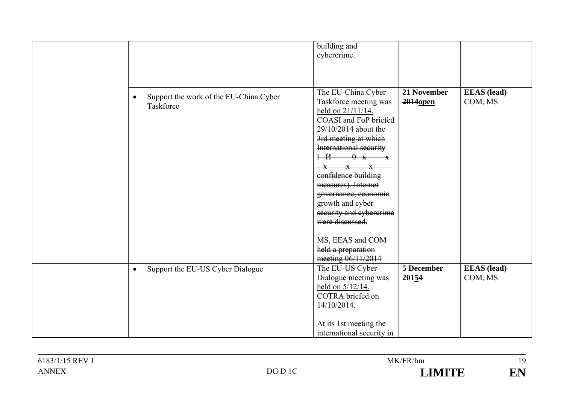|                                                     | building and                                             |                      |                    |
|-----------------------------------------------------|----------------------------------------------------------|----------------------|--------------------|
|                                                     | cybercrime.                                              |                      |                    |
|                                                     |                                                          |                      |                    |
|                                                     |                                                          |                      |                    |
|                                                     |                                                          |                      |                    |
| Support the work of the EU-China Cyber<br>$\bullet$ | The EU-China Cyber                                       | 21 November          | <b>EEAS</b> (lead) |
| Taskforce                                           | Taskforce meeting was                                    | 2014 <sub>open</sub> | COM, MS            |
|                                                     | held on 21/11/14.                                        |                      |                    |
|                                                     | <b>COASI and FoP briefed</b>                             |                      |                    |
|                                                     | 29/10/2014 about the                                     |                      |                    |
|                                                     | 3rd meeting at which                                     |                      |                    |
|                                                     | International security                                   |                      |                    |
|                                                     | $+\ddot{H}$<br>0 x x                                     |                      |                    |
|                                                     | $\mathbf{x}$<br>$\overline{\mathbf{x}}$<br>$-\mathbf{x}$ |                      |                    |
|                                                     | confidence building                                      |                      |                    |
|                                                     | measures), Internet                                      |                      |                    |
|                                                     | governance, economic                                     |                      |                    |
|                                                     | growth and eyber                                         |                      |                    |
|                                                     | security and cybercrime                                  |                      |                    |
|                                                     | were discussed.                                          |                      |                    |
|                                                     |                                                          |                      |                    |
|                                                     | MS, EEAS and COM                                         |                      |                    |
|                                                     | held a preparation                                       |                      |                    |
|                                                     | meeting 06/11/2014                                       |                      |                    |
| Support the EU-US Cyber Dialogue<br>$\bullet$       | The EU-US Cyber                                          | 5-December           | <b>EEAS</b> (lead) |
|                                                     | Dialogue meeting was                                     | 20154                | COM, MS            |
|                                                     | held on 5/12/14.                                         |                      |                    |
|                                                     | <b>COTRA</b> briefed on                                  |                      |                    |
|                                                     | 14/10/2014.                                              |                      |                    |
|                                                     |                                                          |                      |                    |
|                                                     | At its 1st meeting the                                   |                      |                    |
|                                                     | international security in                                |                      |                    |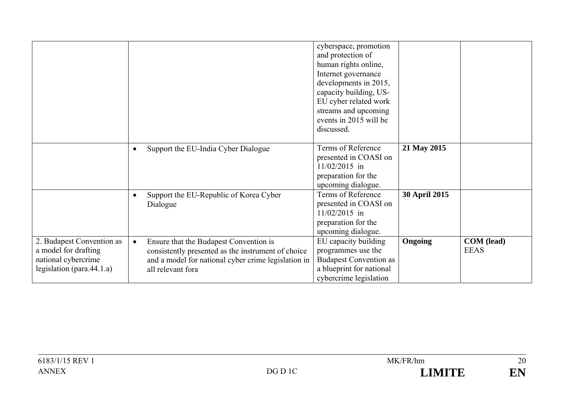|                                                                                                           |           |                                                                                                                                                                          | cyberspace, promotion<br>and protection of<br>human rights online,<br>Internet governance<br>developments in 2015,<br>capacity building, US-<br>EU cyber related work<br>streams and upcoming<br>events in 2015 will be<br>discussed. |                |                                  |
|-----------------------------------------------------------------------------------------------------------|-----------|--------------------------------------------------------------------------------------------------------------------------------------------------------------------------|---------------------------------------------------------------------------------------------------------------------------------------------------------------------------------------------------------------------------------------|----------------|----------------------------------|
|                                                                                                           | $\bullet$ | Support the EU-India Cyber Dialogue                                                                                                                                      | Terms of Reference<br>presented in COASI on<br>$11/02/2015$ in<br>preparation for the<br>upcoming dialogue.                                                                                                                           | 21 May 2015    |                                  |
|                                                                                                           | $\bullet$ | Support the EU-Republic of Korea Cyber<br>Dialogue                                                                                                                       | Terms of Reference<br>presented in COASI on<br>$11/02/2015$ in<br>preparation for the<br>upcoming dialogue.                                                                                                                           | 30 April 2015  |                                  |
| 2. Budapest Convention as<br>a model for drafting<br>national cybercrime<br>legislation (para. $44.1.a$ ) | $\bullet$ | Ensure that the Budapest Convention is<br>consistently presented as the instrument of choice<br>and a model for national cyber crime legislation in<br>all relevant fora | EU capacity building<br>programmes use the<br><b>Budapest Convention as</b><br>a blueprint for national<br>cybercrime legislation                                                                                                     | <b>Ongoing</b> | <b>COM</b> (lead)<br><b>EEAS</b> |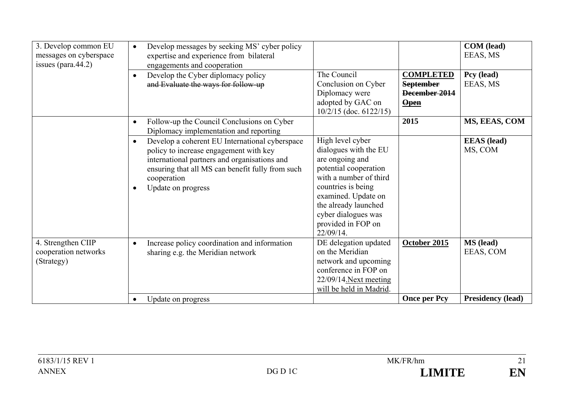| 3. Develop common EU<br>messages on cyberspace<br>issues (para. $44.2$ ) | Develop messages by seeking MS' cyber policy<br>$\bullet$<br>expertise and experience from bilateral<br>engagements and cooperation                                                                                                                         |                                                                                                                                                                                                                                                |                                                                              | COM (lead)<br>EEAS, MS        |
|--------------------------------------------------------------------------|-------------------------------------------------------------------------------------------------------------------------------------------------------------------------------------------------------------------------------------------------------------|------------------------------------------------------------------------------------------------------------------------------------------------------------------------------------------------------------------------------------------------|------------------------------------------------------------------------------|-------------------------------|
|                                                                          | Develop the Cyber diplomacy policy<br>$\bullet$<br>and Evaluate the ways for follow-up                                                                                                                                                                      | The Council<br>Conclusion on Cyber<br>Diplomacy were<br>adopted by GAC on<br>$10/2/15$ (doc. 6122/15)                                                                                                                                          | <b>COMPLETED</b><br><b>September</b><br>December 2014<br>$\frac{Open}{Open}$ | Pcy (lead)<br>EEAS, MS        |
|                                                                          | Follow-up the Council Conclusions on Cyber<br>$\bullet$<br>Diplomacy implementation and reporting                                                                                                                                                           |                                                                                                                                                                                                                                                | 2015                                                                         | MS, EEAS, COM                 |
|                                                                          | Develop a coherent EU International cyberspace<br>$\bullet$<br>policy to increase engagement with key<br>international partners and organisations and<br>ensuring that all MS can benefit fully from such<br>cooperation<br>Update on progress<br>$\bullet$ | High level cyber<br>dialogues with the EU<br>are ongoing and<br>potential cooperation<br>with a number of third<br>countries is being<br>examined. Update on<br>the already launched<br>cyber dialogues was<br>provided in FOP on<br>22/09/14. |                                                                              | <b>EEAS</b> (lead)<br>MS, COM |
| 4. Strengthen CIIP<br>cooperation networks<br>(Strategy)                 | Increase policy coordination and information<br>$\bullet$<br>sharing e.g. the Meridian network                                                                                                                                                              | DE delegation updated<br>on the Meridian<br>network and upcoming<br>conference in FOP on<br>22/09/14. Next meeting<br>will be held in Madrid.                                                                                                  | October 2015                                                                 | <b>MS</b> (lead)<br>EEAS, COM |
|                                                                          | Update on progress<br>$\bullet$                                                                                                                                                                                                                             |                                                                                                                                                                                                                                                | <b>Once per Pcy</b>                                                          | <b>Presidency (lead)</b>      |